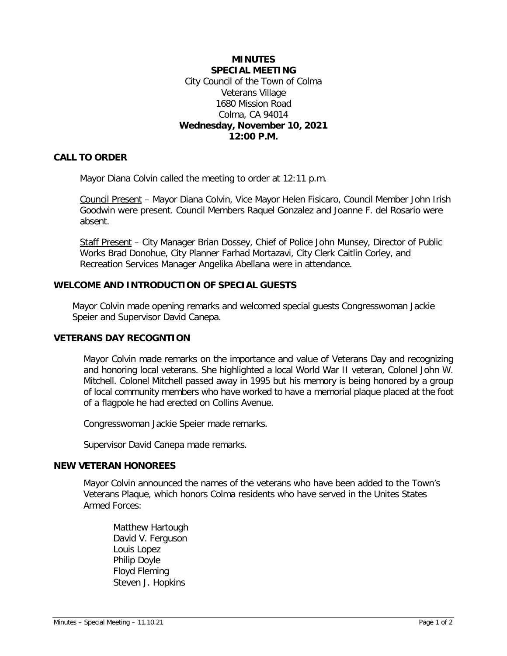# **MINUTES SPECIAL MEETING** City Council of the Town of Colma Veterans Village 1680 Mission Road Colma, CA 94014 **Wednesday, November 10, 2021 12:00 P.M.**

# **CALL TO ORDER**

Mayor Diana Colvin called the meeting to order at 12:11 p.m.

Council Present – Mayor Diana Colvin, Vice Mayor Helen Fisicaro, Council Member John Irish Goodwin were present. Council Members Raquel Gonzalez and Joanne F. del Rosario were absent.

Staff Present – City Manager Brian Dossey, Chief of Police John Munsey, Director of Public Works Brad Donohue, City Planner Farhad Mortazavi, City Clerk Caitlin Corley, and Recreation Services Manager Angelika Abellana were in attendance.

### **WELCOME AND INTRODUCTION OF SPECIAL GUESTS**

Mayor Colvin made opening remarks and welcomed special guests Congresswoman Jackie Speier and Supervisor David Canepa.

## **VETERANS DAY RECOGNTION**

Mayor Colvin made remarks on the importance and value of Veterans Day and recognizing and honoring local veterans. She highlighted a local World War II veteran, Colonel John W. Mitchell. Colonel Mitchell passed away in 1995 but his memory is being honored by a group of local community members who have worked to have a memorial plaque placed at the foot of a flagpole he had erected on Collins Avenue.

Congresswoman Jackie Speier made remarks.

Supervisor David Canepa made remarks.

### **NEW VETERAN HONOREES**

Mayor Colvin announced the names of the veterans who have been added to the Town's Veterans Plaque, which honors Colma residents who have served in the Unites States Armed Forces:

Matthew Hartough David V. Ferguson Louis Lopez Philip Doyle Floyd Fleming Steven J. Hopkins